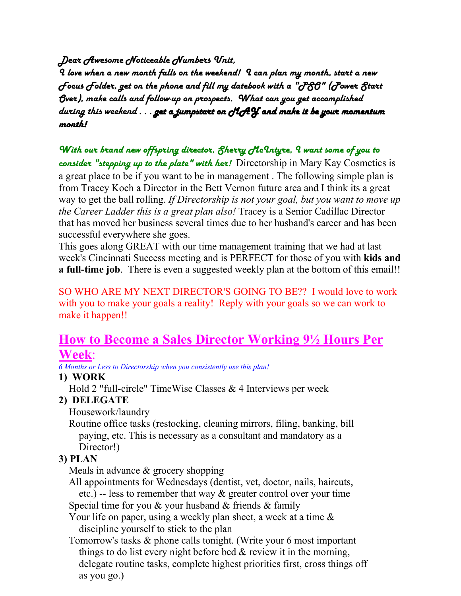*Dear Awesome Noticeable Numbers Unit,*

*I love when a new month falls on the weekend! I can plan my month, start a new Focus Folder, get on the phone and fill my datebook with a "PSO" (Power Start Over), make calls and follow-up on prospects. What can you get accomplished during this weekend . . . get a jumpstart on a jumpstart onMAY and make it be your momentum MAY and make your momentum month!*

*With our brand new offspring director, Sherry McIntyre, I want some of you to consider "stepping up to the plate" with her!* Directorship in Mary Kay Cosmetics is a great place to be if you want to be in management . The following simple plan is from Tracey Koch a Director in the Bett Vernon future area and I think its a great way to get the ball rolling. *If Directorship is not your goal, but you want to move up the Career Ladder this is a great plan also!* Tracey is a Senior Cadillac Director that has moved her business several times due to her husband's career and has been successful everywhere she goes.

This goes along GREAT with our time management training that we had at last week's Cincinnati Success meeting and is PERFECT for those of you with **kids and a full-time job**. There is even a suggested weekly plan at the bottom of this email!!

SO WHO ARE MY NEXT DIRECTOR'S GOING TO BE?? I would love to work with you to make your goals a reality! Reply with your goals so we can work to make it happen!!

# **How to Become a Sales Director Working 9½ Hours Per Week**:

*6 Months or Less to Directorship when you consistently use this plan!* 

# **1) WORK**

Hold 2 "full-circle" TimeWise Classes & 4 Interviews per week

# **2) DELEGATE**

Housework/laundry

 Routine office tasks (restocking, cleaning mirrors, filing, banking, bill paying, etc. This is necessary as a consultant and mandatory as a Director!)

# **3) PLAN**

Meals in advance & grocery shopping

 All appointments for Wednesdays (dentist, vet, doctor, nails, haircuts, etc.) -- less to remember that way & greater control over your time

Special time for you  $\&$  your husband  $\&$  friends  $\&$  family

Your life on paper, using a weekly plan sheet, a week at a time  $\&$ discipline yourself to stick to the plan

 Tomorrow's tasks & phone calls tonight. (Write your 6 most important things to do list every night before bed  $\&$  review it in the morning, delegate routine tasks, complete highest priorities first, cross things off as you go.)